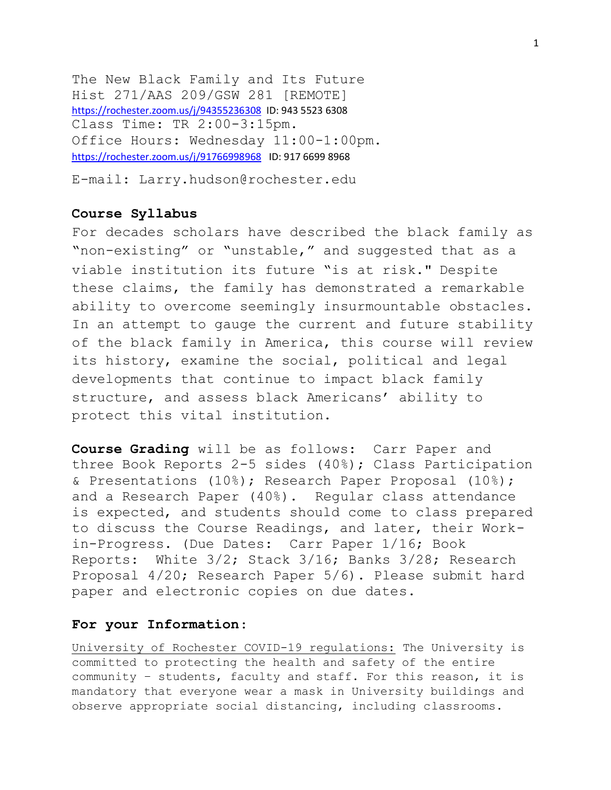The New Black Family and Its Future Hist 271/AAS 209/GSW 281 [REMOTE] <https://rochester.zoom.us/j/94355236308>ID: 943 5523 6308 Class Time: TR 2:00-3:15pm. Office Hours: Wednesday 11:00-1:00pm. <https://rochester.zoom.us/j/91766998968>ID: 917 6699 8968

E-mail: Larry.hudson@rochester.edu

# **Course Syllabus**

For decades scholars have described the black family as "non-existing" or "unstable," and suggested that as a viable institution its future "is at risk." Despite these claims, the family has demonstrated a remarkable ability to overcome seemingly insurmountable obstacles. In an attempt to gauge the current and future stability of the black family in America, this course will review its history, examine the social, political and legal developments that continue to impact black family structure, and assess black Americans' ability to protect this vital institution.

**Course Grading** will be as follows: Carr Paper and three Book Reports 2-5 sides (40%); Class Participation & Presentations (10%); Research Paper Proposal (10%); and a Research Paper (40%). Regular class attendance is expected, and students should come to class prepared to discuss the Course Readings, and later, their Workin-Progress. (Due Dates: Carr Paper 1/16; Book Reports: White 3/2; Stack 3/16; Banks 3/28; Research Proposal 4/20; Research Paper 5/6). Please submit hard paper and electronic copies on due dates.

# **For your Information**:

University of Rochester COVID-19 regulations: The University is committed to protecting the health and safety of the entire community – students, faculty and staff. For this reason, it is mandatory that everyone wear a mask in University buildings and observe appropriate social distancing, including classrooms.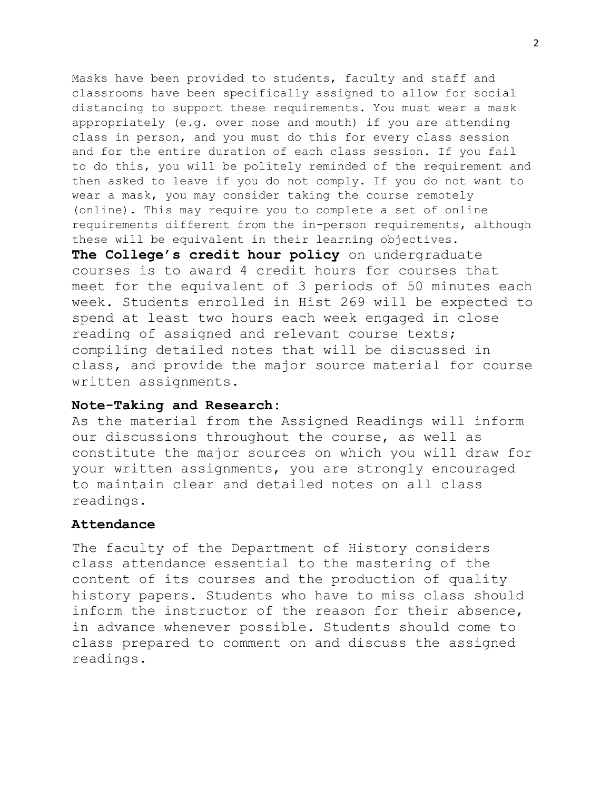Masks have been provided to students, faculty and staff and classrooms have been specifically assigned to allow for social distancing to support these requirements. You must wear a mask appropriately (e.g. over nose and mouth) if you are attending class in person, and you must do this for every class session and for the entire duration of each class session. If you fail to do this, you will be politely reminded of the requirement and then asked to leave if you do not comply. If you do not want to wear a mask, you may consider taking the course remotely (online). This may require you to complete a set of online requirements different from the in-person requirements, although these will be equivalent in their learning objectives.

**The College's credit hour policy** on undergraduate courses is to award 4 credit hours for courses that meet for the equivalent of 3 periods of 50 minutes each week. Students enrolled in Hist 269 will be expected to spend at least two hours each week engaged in close reading of assigned and relevant course texts; compiling detailed notes that will be discussed in class, and provide the major source material for course written assignments.

# **Note-Taking and Research:**

As the material from the Assigned Readings will inform our discussions throughout the course, as well as constitute the major sources on which you will draw for your written assignments, you are strongly encouraged to maintain clear and detailed notes on all class readings.

# **Attendance**

The faculty of the Department of History considers class attendance essential to the mastering of the content of its courses and the production of quality history papers. Students who have to miss class should inform the instructor of the reason for their absence, in advance whenever possible. Students should come to class prepared to comment on and discuss the assigned readings.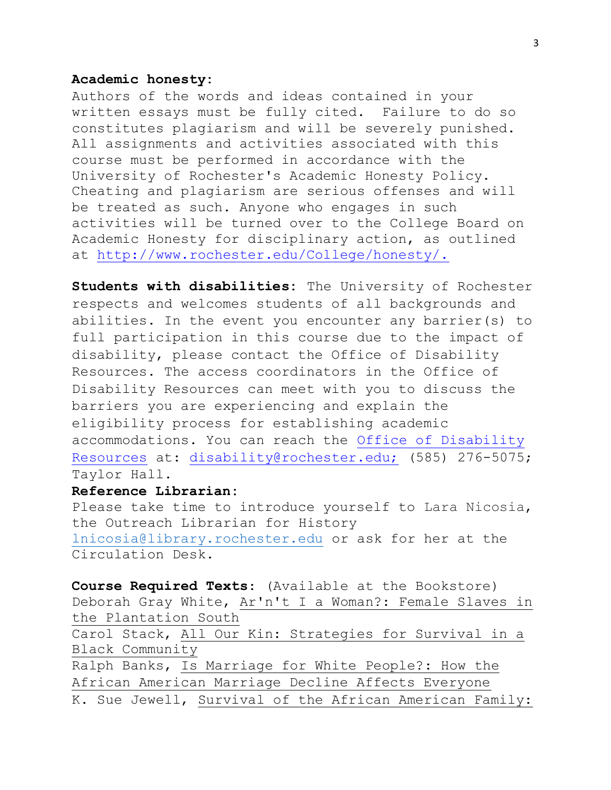# **Academic honesty:**

Authors of the words and ideas contained in your written essays must be fully cited. Failure to do so constitutes plagiarism and will be severely punished. All assignments and activities associated with this course must be performed in accordance with the University of Rochester's Academic Honesty Policy. Cheating and plagiarism are serious offenses and will be treated as such. Anyone who engages in such activities will be turned over to the College Board on Academic Honesty for disciplinary action, as outlined at [http://www.rochester.edu/College/honesty/.](http://www.rochester.edu/College/honesty/) 

**Students with disabilities:** The University of Rochester respects and welcomes students of all backgrounds and abilities. In the event you encounter any barrier(s) to full participation in this course due to the impact of disability, please contact the Office of Disability Resources. The access coordinators in the Office of Disability Resources can meet with you to discuss the barriers you are experiencing and explain the eligibility process for establishing academic accommodations. You can reach the [Office of Disability](http://www.rochester.edu/college/disability/index.html)  [Resources](http://www.rochester.edu/college/disability/index.html) at: [disability@rochester.edu;](mailto:disability@rochester.edu;) (585) 276-5075; Taylor Hall.

# **Reference Librarian:**

Please take time to introduce yourself to Lara Nicosia, the Outreach Librarian for History [lnicosia@library.rochester.edu](mailto:lnicosia@library.rochester.edu) or ask for her at the Circulation Desk.

**Course Required Texts**: (Available at the Bookstore) Deborah Gray White, Ar'n't I a Woman?: Female Slaves in the Plantation South Carol Stack, All Our Kin: Strategies for Survival in a Black Community Ralph Banks, Is Marriage for White People?: How the African American Marriage Decline Affects Everyone K. Sue Jewell, Survival of the African American Family: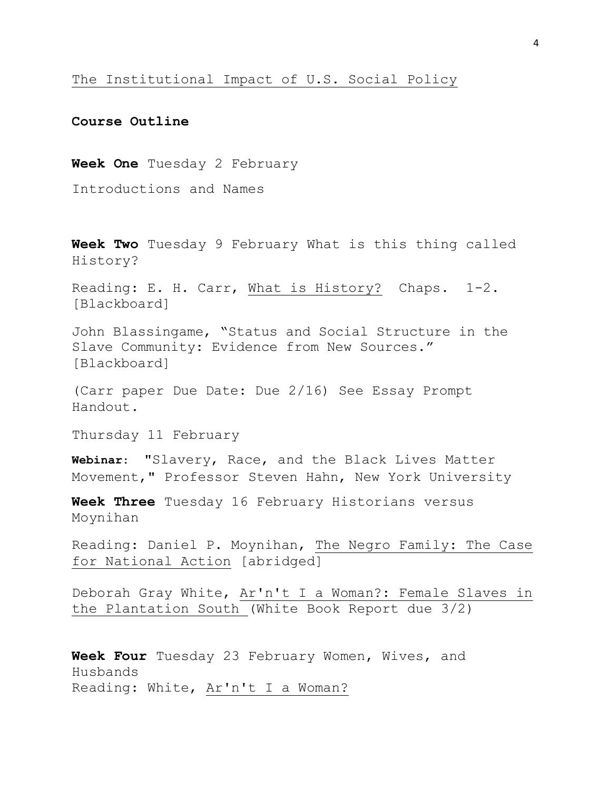# The Institutional Impact of U.S. Social Policy

# **Course Outline**

**Week One** Tuesday 2 February

Introductions and Names

**Week Two** Tuesday 9 February What is this thing called History?

Reading: E. H. Carr, What is History? Chaps. 1-2. [Blackboard]

John Blassingame, "Status and Social Structure in the Slave Community: Evidence from New Sources." [Blackboard]

(Carr paper Due Date: Due 2/16) See Essay Prompt Handout.

Thursday 11 February

**Webinar**: "Slavery, Race, and the Black Lives Matter Movement," Professor Steven Hahn, New York University

**Week Three** Tuesday 16 February Historians versus Moynihan

Reading: Daniel P. Moynihan, The Negro Family: The Case for National Action [abridged]

Deborah Gray White, Ar'n't I a Woman?: Female Slaves in the Plantation South (White Book Report due 3/2)

**Week Four** Tuesday 23 February Women, Wives, and Husbands Reading: White, Ar'n't I a Woman?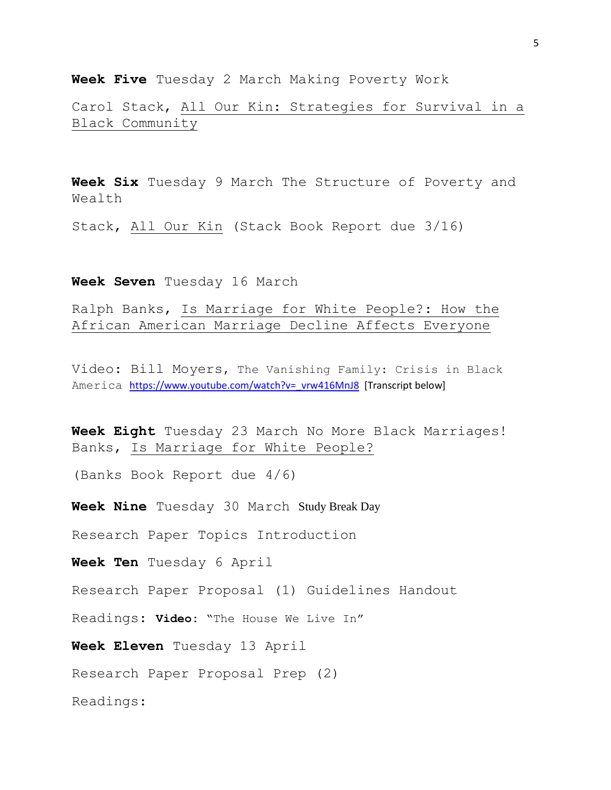**Week Five** Tuesday 2 March Making Poverty Work

Carol Stack, All Our Kin: Strategies for Survival in a Black Community

**Week Six** Tuesday 9 March The Structure of Poverty and Wealth

Stack, All Our Kin (Stack Book Report due 3/16)

**Week Seven** Tuesday 16 March

Ralph Banks, Is Marriage for White People?: How the African American Marriage Decline Affects Everyone

Video: Bill Moyers, The Vanishing Family: Crisis in Black America [https://www.youtube.com/watch?v=\\_vrw416MnJ8](https://www.youtube.com/watch?v=_vrw416MnJ8) [Transcript below]

**Week Eight** Tuesday 23 March No More Black Marriages! Banks, Is Marriage for White People?

(Banks Book Report due 4/6)

**Week Nine** Tuesday 30 March Study Break Day

Research Paper Topics Introduction

**Week Ten** Tuesday 6 April

Research Paper Proposal (1) Guidelines Handout

Readings: **Video:** "The House We Live In"

**Week Eleven** Tuesday 13 April

Research Paper Proposal Prep (2)

Readings: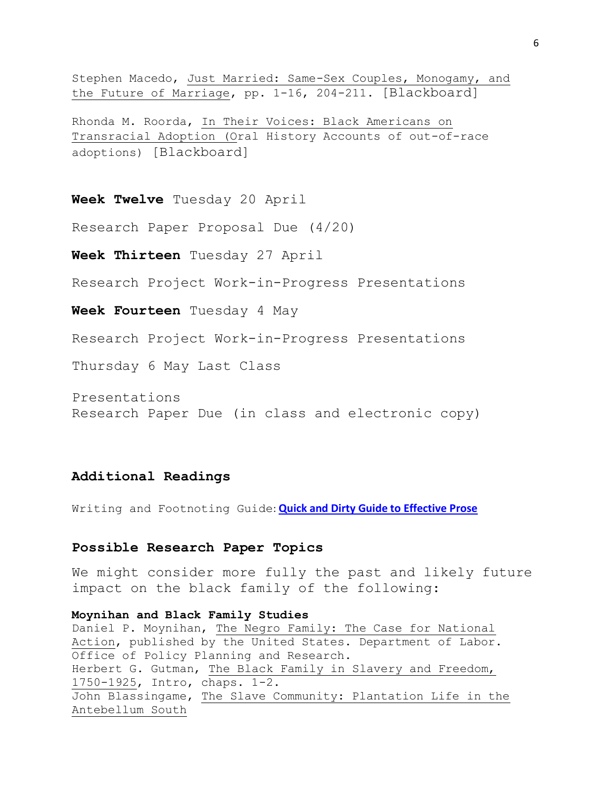Stephen Macedo, Just Married: Same-Sex Couples, Monogamy, and the Future of Marriage, pp. 1-16, 204-211. [Blackboard]

Rhonda M. Roorda, In Their Voices: Black Americans on Transracial Adoption (Oral History Accounts of out-of-race adoptions) [Blackboard]

**Week Twelve** Tuesday 20 April

Research Paper Proposal Due (4/20)

**Week Thirteen** Tuesday 27 April

Research Project Work-in-Progress Presentations

**Week Fourteen** Tuesday 4 May

Research Project Work-in-Progress Presentations

Thursday 6 May Last Class

Presentations Research Paper Due (in class and electronic copy)

# **Additional Readings**

Writing and Footnoting Guide: **[Quick and Dirty Guide to Effective Prose](https://learn.rochester.edu/bbcswebdav/courses/HIS170.2017SPRING.79247/readings/QuickAndDirty.pdf)** 

#### **Possible Research Paper Topics**

We might consider more fully the past and likely future impact on the black family of the following:

**Moynihan and Black Family Studies** Daniel P. Moynihan, The Negro Family: The Case for National Action, published by the United States. Department of Labor. Office of Policy Planning and Research. Herbert G. Gutman, The Black Family in Slavery and Freedom, 1750-1925, Intro, chaps. 1-2. John Blassingame, The Slave Community: Plantation Life in the Antebellum South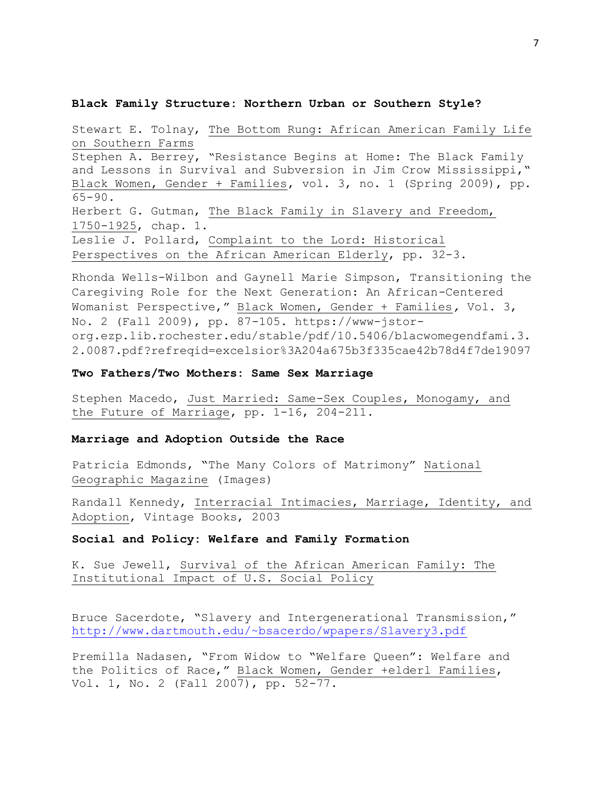#### **Black Family Structure: Northern Urban or Southern Style?**

Stewart E. Tolnay, The Bottom Rung: African American Family Life on Southern Farms Stephen A. Berrey, "Resistance Begins at Home: The Black Family and Lessons in Survival and Subversion in Jim Crow Mississippi," Black Women, Gender + Families, vol. 3, no. 1 (Spring 2009), pp. 65-90. Herbert G. Gutman, The Black Family in Slavery and Freedom, 1750-1925, chap. 1. Leslie J. Pollard, Complaint to the Lord: Historical Perspectives on the African American Elderly, pp. 32-3.

Rhonda Wells-Wilbon and Gaynell Marie Simpson, Transitioning the Caregiving Role for the Next Generation: An African-Centered Womanist Perspective," Black Women, Gender + Families*,* Vol. 3, No. 2 (Fall 2009), pp. 87-105. https://www-jstororg.ezp.lib.rochester.edu/stable/pdf/10.5406/blacwomegendfami.3. 2.0087.pdf?refreqid=excelsior%3A204a675b3f335cae42b78d4f7de19097

### **Two Fathers/Two Mothers: Same Sex Marriage**

Stephen Macedo, Just Married: Same-Sex Couples, Monogamy, and the Future of Marriage, pp. 1-16, 204-211.

### **Marriage and Adoption Outside the Race**

Patricia Edmonds, "The Many Colors of Matrimony" National Geographic Magazine (Images)

Randall Kennedy, Interracial Intimacies, Marriage, Identity, and Adoption, Vintage Books, 2003

### **Social and Policy: Welfare and Family Formation**

K. Sue Jewell, Survival of the African American Family: The Institutional Impact of U.S. Social Policy

Bruce Sacerdote, "Slavery and Intergenerational Transmission," [http://www.dartmouth.edu/~bsacerdo/wpapers/Slavery3.pdf](https://urldefense.proofpoint.com/v2/url?u=http-3A__www.dartmouth.edu_-257Ebsacerdo_wpapers_Slavery3.pdf&d=BQMF-g&c=kbmfwr1Yojg42sGEpaQh5ofMHBeTl9EI2eaqQZhHbOU&r=_7vbyrTPYxPYbty2wT4hDNQda0p9ZmHyqB43dvbLx3Q&m=kPS2vXzl2_SmHBAxdl75lrRUqn0zFCsl3ugjbw0b_4c&s=iVabiAuMrk2ZamQkR0h-whfeZxdoD4bJZj5_z77oZFg&e=)

Premilla Nadasen, "From Widow to "Welfare Queen": Welfare and the Politics of Race," Black Women, Gender +elderl Families, Vol. 1, No. 2 (Fall 2007), pp. 52-77.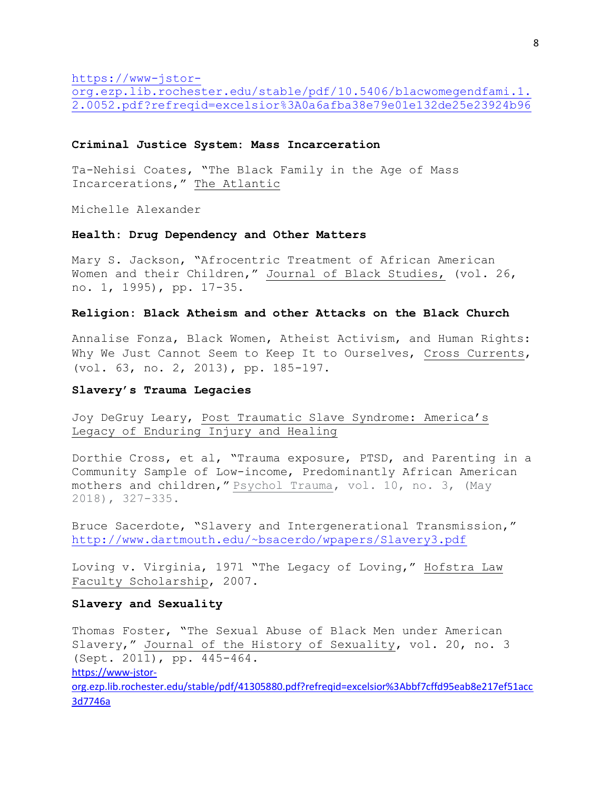[https://www-jstor-](https://www-jstor-org.ezp.lib.rochester.edu/stable/pdf/10.5406/blacwomegendfami.1.2.0052.pdf?refreqid=excelsior%3A0a6afba38e79e01e132de25e23924b96)

[org.ezp.lib.rochester.edu/stable/pdf/10.5406/blacwomegendfami.1.](https://www-jstor-org.ezp.lib.rochester.edu/stable/pdf/10.5406/blacwomegendfami.1.2.0052.pdf?refreqid=excelsior%3A0a6afba38e79e01e132de25e23924b96) [2.0052.pdf?refreqid=excelsior%3A0a6afba38e79e01e132de25e23924b96](https://www-jstor-org.ezp.lib.rochester.edu/stable/pdf/10.5406/blacwomegendfami.1.2.0052.pdf?refreqid=excelsior%3A0a6afba38e79e01e132de25e23924b96)

#### **Criminal Justice System: Mass Incarceration**

Ta-Nehisi Coates, "The Black Family in the Age of Mass Incarcerations," The Atlantic

Michelle Alexander

### **Health: Drug Dependency and Other Matters**

Mary S. Jackson, "Afrocentric Treatment of African American Women and their Children," Journal of Black Studies, (vol. 26, no. 1, 1995), pp. 17-35.

#### **Religion: Black Atheism and other Attacks on the Black Church**

Annalise Fonza, Black Women, Atheist Activism, and Human Rights: Why We Just Cannot Seem to Keep It to Ourselves, Cross Currents, (vol. 63, no. 2, 2013), pp. 185-197.

### **Slavery's Trauma Legacies**

Joy DeGruy Leary, Post Traumatic Slave Syndrome: America's Legacy of Enduring Injury and Healing

Dorthie Cross, et al, "Trauma exposure, PTSD, and Parenting in a Community Sample of Low-income, Predominantly African American mothers and children," Psychol Trauma, vol. 10, no. 3, (May 2018), 327-335.

Bruce Sacerdote, "Slavery and Intergenerational Transmission," [http://www.dartmouth.edu/~bsacerdo/wpapers/Slavery3.pdf](https://urldefense.proofpoint.com/v2/url?u=http-3A__www.dartmouth.edu_-257Ebsacerdo_wpapers_Slavery3.pdf&d=BQMF-g&c=kbmfwr1Yojg42sGEpaQh5ofMHBeTl9EI2eaqQZhHbOU&r=_7vbyrTPYxPYbty2wT4hDNQda0p9ZmHyqB43dvbLx3Q&m=kPS2vXzl2_SmHBAxdl75lrRUqn0zFCsl3ugjbw0b_4c&s=iVabiAuMrk2ZamQkR0h-whfeZxdoD4bJZj5_z77oZFg&e=)

Loving v. Virginia, 1971 "The Legacy of Loving," Hofstra Law Faculty Scholarship, 2007.

### **Slavery and Sexuality**

Thomas Foster, "The Sexual Abuse of Black Men under American Slavery," Journal of the History of Sexuality, vol. 20, no. 3 (Sept. 2011), pp. 445-464. [https://www-jstor](https://www-jstor-org.ezp.lib.rochester.edu/stable/pdf/41305880.pdf?refreqid=excelsior%3Abbf7cffd95eab8e217ef51acc3d7746a)[org.ezp.lib.rochester.edu/stable/pdf/41305880.pdf?refreqid=excelsior%3Abbf7cffd95eab8e217ef51acc](https://www-jstor-org.ezp.lib.rochester.edu/stable/pdf/41305880.pdf?refreqid=excelsior%3Abbf7cffd95eab8e217ef51acc3d7746a) [3d7746a](https://www-jstor-org.ezp.lib.rochester.edu/stable/pdf/41305880.pdf?refreqid=excelsior%3Abbf7cffd95eab8e217ef51acc3d7746a)